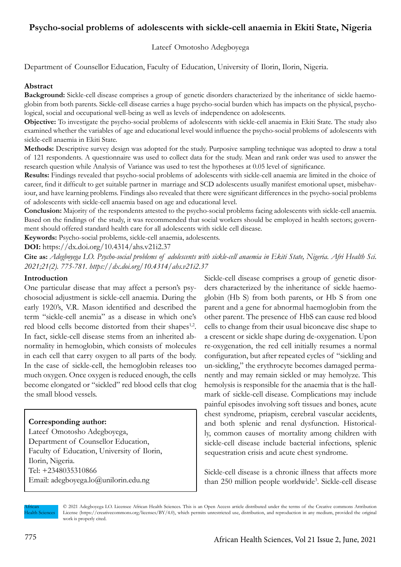# **Psycho-social problems of adolescents with sickle-cell anaemia in Ekiti State, Nigeria**

### Lateef Omotosho Adegboyega

Department of Counsellor Education, Faculty of Education, University of Ilorin, Ilorin, Nigeria.

### **Abstract**

**Background:** Sickle-cell disease comprises a group of genetic disorders characterized by the inheritance of sickle haemoglobin from both parents. Sickle-cell disease carries a huge psycho-social burden which has impacts on the physical, psychological, social and occupational well-being as well as levels of independence on adolescents.

**Objective:** To investigate the psycho-social problems of adolescents with sickle-cell anaemia in Ekiti State. The study also examined whether the variables of age and educational level would influence the psycho-social problems of adolescents with sickle-cell anaemia in Ekiti State.

**Methods:** Descriptive survey design was adopted for the study. Purposive sampling technique was adopted to draw a total of 121 respondents. A questionnaire was used to collect data for the study. Mean and rank order was used to answer the research question while Analysis of Variance was used to test the hypotheses at 0.05 level of significance.

**Results:** Findings revealed that psycho-social problems of adolescents with sickle-cell anaemia are limited in the choice of career, find it difficult to get suitable partner in marriage and SCD adolescents usually manifest emotional upset, misbehaviour, and have learning problems. Findings also revealed that there were significant differences in the psycho-social problems of adolescents with sickle-cell anaemia based on age and educational level.

**Conclusion:** Majority of the respondents attested to the psycho-social problems facing adolescents with sickle-cell anaemia. Based on the findings of the study, it was recommended that social workers should be employed in health sectors; government should offered standard health care for all adolescents with sickle cell disease.

**Keywords:** Psycho-social problems, sickle-cell anaemia, adolescents.

**DOI:** https://dx.doi.org/10.4314/ahs.v21i2.37

**Cite as:** *Adegboyega LO. Psycho-social problems of adolescents with sickle-cell anaemia in Ekiti State, Nigeria. Afri Health Sci. 2021;21(2). 775-781. https://dx.doi.org/10.4314/ahs.v21i2.37*

#### **Introduction**

One particular disease that may affect a person's psychosocial adjustment is sickle-cell anaemia. During the early 1920's, V.R. Mason identified and described the term "sickle-cell anemia" as a disease in which one's red blood cells become distorted from their shapes<sup>1,2</sup>. In fact, sickle-cell disease stems from an inherited abnormality in hemoglobin, which consists of molecules in each cell that carry oxygen to all parts of the body. In the case of sickle-cell, the hemoglobin releases too much oxygen. Once oxygen is reduced enough, the cells become elongated or "sickled" red blood cells that clog the small blood vessels.

#### **Corresponding author:**

Lateef Omotosho Adegboyega, Department of Counsellor Education, Faculty of Education, University of Ilorin, Ilorin, Nigeria. Tel: +2348035310866 Email: adegboyega.lo@unilorin.edu.ng

Sickle-cell disease comprises a group of genetic disorders characterized by the inheritance of sickle haemoglobin (Hb S) from both parents, or Hb S from one parent and a gene for abnormal haemoglobin from the other parent. The presence of HbS can cause red blood cells to change from their usual biconcave disc shape to a crescent or sickle shape during de-oxygenation. Upon re-oxygenation, the red cell initially resumes a normal configuration, but after repeated cycles of "sickling and un-sickling," the erythrocyte becomes damaged permanently and may remain sickled or may hemolyze. This hemolysis is responsible for the anaemia that is the hallmark of sickle-cell disease. Complications may include painful episodes involving soft tissues and bones, acute chest syndrome, priapism, cerebral vascular accidents, and both splenic and renal dysfunction. Historically, common causes of mortality among children with sickle-cell disease include bacterial infections, splenic sequestration crisis and acute chest syndrome.

Sickle-cell disease is a chronic illness that affects more than 250 million people worldwide<sup>3</sup>. Sickle-cell disease

African lealth Sciences © 2021 Adegboyega LO. Licensee African Health Sciences. This is an Open Access article distributed under the terms of the Creative commons Attribution License (https://creativecommons.org/licenses/BY/4.0), which permits unrestricted use, distribution, and reproduction in any medium, provided the original work is properly cited.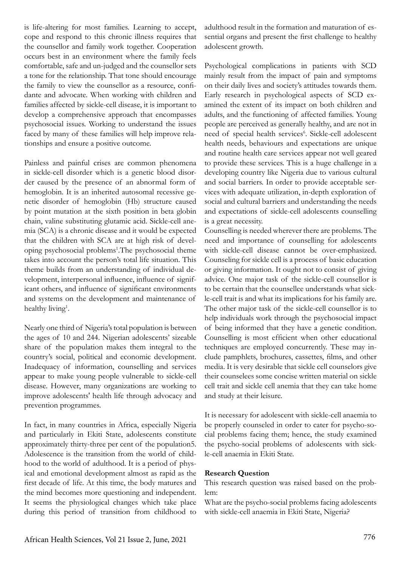is life-altering for most families. Learning to accept, cope and respond to this chronic illness requires that the counsellor and family work together. Cooperation occurs best in an environment where the family feels comfortable, safe and un-judged and the counsellor sets a tone for the relationship. That tone should encourage the family to view the counsellor as a resource, confidante and advocate. When working with children and families affected by sickle-cell disease, it is important to develop a comprehensive approach that encompasses psychosocial issues. Working to understand the issues faced by many of these families will help improve relationships and ensure a positive outcome.

Painless and painful crises are common phenomena in sickle-cell disorder which is a genetic blood disorder caused by the presence of an abnormal form of hemoglobin. It is an inherited autosomal recessive genetic disorder of hemoglobin (Hb) structure caused by point mutation at the sixth position in beta globin chain, valine substituting glutamic acid. Sickle-cell anemia (SCA) is a chronic disease and it would be expected that the children with SCA are at high risk of developing psychosocial problems<sup>1</sup>. The psychosocial theme takes into account the person's total life situation. This theme builds from an understanding of individual development, interpersonal influence, influence of significant others, and influence of significant environments and systems on the development and maintenance of healthy living<sup>1</sup>.

Nearly one third of Nigeria's total population is between the ages of 10 and 244. Nigerian adolescents' sizeable share of the population makes them integral to the country's social, political and economic development. Inadequacy of information, counselling and services appear to make young people vulnerable to sickle-cell disease. However, many organizations are working to improve adolescents' health life through advocacy and prevention programmes.

In fact, in many countries in Africa, especially Nigeria and particularly in Ekiti State, adolescents constitute approximately thirty-three per cent of the population5. Adolescence is the transition from the world of childhood to the world of adulthood. It is a period of physical and emotional development almost as rapid as the first decade of life. At this time, the body matures and the mind becomes more questioning and independent. It seems the physiological changes which take place during this period of transition from childhood to

adulthood result in the formation and maturation of essential organs and present the first challenge to healthy adolescent growth.

Psychological complications in patients with SCD mainly result from the impact of pain and symptoms on their daily lives and society's attitudes towards them. Early research in psychological aspects of SCD examined the extent of its impact on both children and adults, and the functioning of affected families. Young people are perceived as generally healthy, and are not in need of special health services<sup>6</sup>. Sickle-cell adolescent health needs, behaviours and expectations are unique and routine health care services appear not well geared to provide these services. This is a huge challenge in a developing country like Nigeria due to various cultural and social barriers. In order to provide acceptable services with adequate utilization, in-depth exploration of social and cultural barriers and understanding the needs and expectations of sickle-cell adolescents counselling is a great necessity.

Counselling is needed wherever there are problems. The need and importance of counselling for adolescents with sickle-cell disease cannot be over-emphasized. Counseling for sickle cell is a process of basic education or giving information. It ought not to consist of giving advice. One major task of the sickle-cell counsellor is to be certain that the counsellee understands what sickle-cell trait is and what its implications for his family are. The other major task of the sickle-cell counsellor is to help individuals work through the psychosocial impact of being informed that they have a genetic condition. Counselling is most efficient when other educational techniques are employed concurrently. These may include pamphlets, brochures, cassettes, films, and other media. It is very desirable that sickle cell counselors give their counselees some concise written material on sickle cell trait and sickle cell anemia that they can take home and study at their leisure.

It is necessary for adolescent with sickle-cell anaemia to be properly counseled in order to cater for psycho-social problems facing them; hence, the study examined the psycho-social problems of adolescents with sickle-cell anaemia in Ekiti State.

### **Research Question**

This research question was raised based on the problem:

What are the psycho-social problems facing adolescents with sickle-cell anaemia in Ekiti State, Nigeria?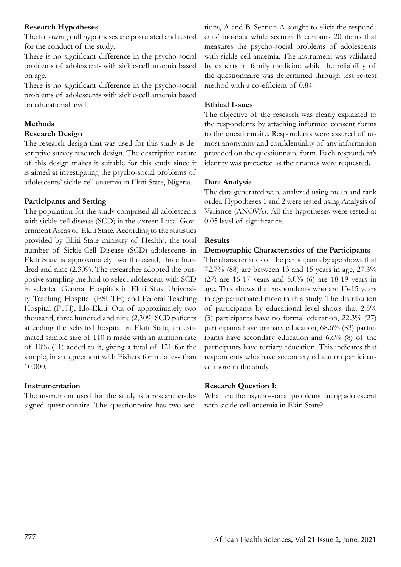### **Research Hypotheses**

The following null hypotheses are postulated and tested for the conduct of the study:

There is no significant difference in the psycho-social problems of adolescents with sickle-cell anaemia based on age.

There is no significant difference in the psycho-social problems of adolescents with sickle-cell anaemia based on educational level.

## **Methods**

## **Research Design**

The research design that was used for this study is descriptive survey research design. The descriptive nature of this design makes it suitable for this study since it is aimed at investigating the psycho-social problems of adolescents' sickle-cell anaemia in Ekiti State, Nigeria.

### **Participants and Setting**

The population for the study comprised all adolescents with sickle-cell disease (SCD) in the sixteen Local Government Areas of Ekiti State. According to the statistics provided by Ekiti State ministry of Health<sup>7</sup>, the total number of Sickle-Cell Disease (SCD) adolescents in Ekiti State is approximately two thousand, three hundred and nine (2,309). The researcher adopted the purposive sampling method to select adolescent with SCD in selected General Hospitals in Ekiti State University Teaching Hospital (ESUTH) and Federal Teaching Hospital (FTH), Ido-Ekiti. Out of approximately two thousand, three hundred and nine (2,309) SCD patients attending the selected hospital in Ekiti State, an estimated sample size of 110 is made with an attrition rate of 10% (11) added to it, giving a total of 121 for the sample, in an agreement with Fishers formula less than 10,000.

## **Instrumentation**

The instrument used for the study is a researcher-designed questionnaire. The questionnaire has two sec-

tions, A and B. Section A sought to elicit the respondents' bio-data while section B contains 20 items that measures the psycho-social problems of adolescents with sickle-cell anaemia. The instrument was validated by experts in family medicine while the reliability of the questionnaire was determined through test re-test method with a co-efficient of 0.84.

## **Ethical Issues**

The objective of the research was clearly explained to the respondents by attaching informed consent forms to the questionnaire. Respondents were assured of utmost anonymity and confidentiality of any information provided on the questionnaire form. Each respondent's identity was protected as their names were requested.

### **Data Analysis**

The data generated were analyzed using mean and rank order. Hypotheses 1 and 2 were tested using Analysis of Variance (ANOVA). All the hypotheses were tested at 0.05 level of significance.

### **Results**

### **Demographic Characteristics of the Participants**

The characteristics of the participants by age shows that 72.7% (88) are between 13 and 15 years in age, 27.3% (27) are 16-17 years and 5.0% (6) are 18-19 years in age. This shows that respondents who are 13-15 years in age participated more in this study. The distribution of participants by educational level shows that 2.5% (3) participants have no formal education, 22.3% (27) participants have primary education, 68.6% (83) participants have secondary education and 6.6% (8) of the participants have tertiary education. This indicates that respondents who have secondary education participated more in the study.

### **Research Question 1:**

What are the psycho-social problems facing adolescent with sickle-cell anaemia in Ekiti State?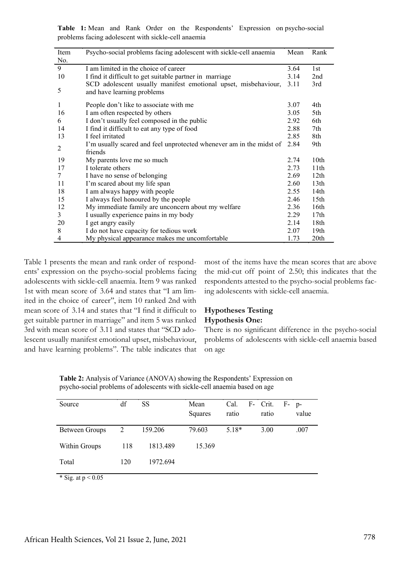**Table 1:** Mean and Rank Order on the Respondents' Expression on psycho-social problems facing adolescent with sickle-cell anaemia

| Item | Psycho-social problems facing adolescent with sickle-cell anaemia   | Mean | Rank             |
|------|---------------------------------------------------------------------|------|------------------|
| No.  |                                                                     |      |                  |
| 9    | I am limited in the choice of career                                | 3.64 | 1st              |
| 10   | I find it difficult to get suitable partner in marriage             | 3.14 | 2nd              |
|      | SCD adolescent usually manifest emotional upset, misbehaviour,      | 3.11 | 3rd              |
| 5    | and have learning problems                                          |      |                  |
| 1    | People don't like to associate with me                              | 3.07 | 4th              |
| 16   | I am often respected by others                                      | 3.05 | 5th              |
| 6    | I don't usually feel composed in the public                         | 2.92 | 6th              |
| 14   | I find it difficult to eat any type of food                         | 2.88 | 7th              |
| 13   | I feel irritated                                                    | 2.85 | 8th              |
| 2    | I'm usually scared and feel unprotected whenever am in the midst of | 2.84 | 9th              |
|      | friends                                                             |      |                  |
| 19   | My parents love me so much                                          | 2.74 | 10th             |
| 17   | I tolerate others                                                   | 2.73 | 11th             |
| 7    | I have no sense of belonging                                        | 2.69 | 12th             |
| 11   | I'm scared about my life span                                       | 2.60 | 13 <sub>th</sub> |
| 18   | I am always happy with people                                       | 2.55 | 14th             |
| 15   | I always feel honoured by the people                                | 2.46 | 15 <sub>th</sub> |
| 12   | My immediate family are unconcern about my welfare                  | 2.36 | 16th             |
| 3    | I usually experience pains in my body                               | 2.29 | 17 <sub>th</sub> |
| 20   | I get angry easily                                                  | 2.14 | 18th             |
| 8    | I do not have capacity for tedious work                             | 2.07 | 19 <sub>th</sub> |
| 4    | My physical appearance makes me uncomfortable                       | 1.73 | 20th             |

Table 1 presents the mean and rank order of respondents' expression on the psycho-social problems facing adolescents with sickle-cell anaemia. Item 9 was ranked 1st with mean score of 3.64 and states that "I am limited in the choice of career'', item 10 ranked 2nd with mean score of 3.14 and states that "I find it difficult to get suitable partner in marriage" and item 5 was ranked 3rd with mean score of 3.11 and states that "SCD adolescent usually manifest emotional upset, misbehaviour, and have learning problems". The table indicates that most of the items have the mean scores that are above the mid-cut off point of 2.50; this indicates that the respondents attested to the psycho-social problems facing adolescents with sickle-cell anaemia.

### **Hypotheses Testing Hypothesis One:**

There is no significant difference in the psycho-social problems of adolescents with sickle-cell anaemia based on age

**Table 2:** Analysis of Variance (ANOVA) showing the Respondents' Expression on psycho-social problems of adolescents with sickle-cell anaemia based on age

| Source                                                              | df  | SS       | Mean    | Cal.    | F- Crit. | F- | $p-$  |
|---------------------------------------------------------------------|-----|----------|---------|---------|----------|----|-------|
|                                                                     |     |          | Squares | ratio   | ratio    |    | value |
|                                                                     |     |          |         |         |          |    |       |
| Between Groups                                                      | 2   | 159.206  | 79.603  | $5.18*$ | 3.00     |    | .007  |
| Within Groups                                                       | 118 | 1813.489 | 15.369  |         |          |    |       |
|                                                                     |     |          |         |         |          |    |       |
| Total                                                               | 120 | 1972.694 |         |         |          |    |       |
| $\mathbf{r} \cdot \mathbf{r}$<br>$\sim$ $\sim$ $\sim$ $\sim$ $\sim$ |     |          |         |         |          |    |       |

\* Sig. at  $p < 0.05$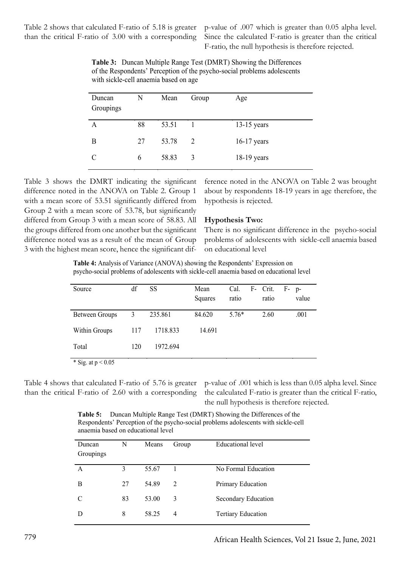Table 2 shows that calculated F-ratio of 5.18 is greater than the critical F-ratio of 3.00 with a corresponding p-value of .007 which is greater than 0.05 alpha level. Since the calculated F-ratio is greater than the critical F-ratio, the null hypothesis is therefore rejected.

| Duncan<br>Groupings | N  | Mean  | Group | Age           |
|---------------------|----|-------|-------|---------------|
| А                   | 88 | 53.51 |       | $13-15$ years |
| B                   | 27 | 53.78 | 2     | $16-17$ years |
|                     | 6  | 58.83 | 3     | $18-19$ years |

**Table 3:** Duncan Multiple Range Test (DMRT) Showing the Differences of the Respondents' Perception of the psycho-social problems adolescents with sickle-cell anaemia based on age

Table 3 shows the DMRT indicating the significant difference noted in the ANOVA on Table 2. Group 1 with a mean score of 53.51 significantly differed from Group 2 with a mean score of 53.78, but significantly differed from Group 3 with a mean score of 58.83. All the groups differed from one another but the significant difference noted was as a result of the mean of Group 3 with the highest mean score, hence the significant difference noted in the ANOVA on Table 2 was brought about by respondents 18-19 years in age therefore, the hypothesis is rejected.

#### **Hypothesis Two:**

There is no significant difference in the psycho-social problems of adolescents with sickle-cell anaemia based on educational level

**Table 4:** Analysis of Variance (ANOVA) showing the Respondents' Expression on psycho-social problems of adolescents with sickle-cell anaemia based on educational level

| Source               | df  | <b>SS</b> | Mean<br>Squares | Cal.<br>ratio | F- Crit.<br>ratio | $F-$ p-<br>value |
|----------------------|-----|-----------|-----------------|---------------|-------------------|------------------|
| Between Groups       | 3   | 235.861   | 84.620          | $5.76*$       | 2.60              | .001             |
| Within Groups        | 117 | 1718.833  | 14.691          |               |                   |                  |
| Total                | 120 | 1972.694  |                 |               |                   |                  |
| * Sig. at $p < 0.05$ |     |           |                 |               |                   |                  |

Table 4 shows that calculated F-ratio of 5.76 is greater than the critical F-ratio of 2.60 with a corresponding

p-value of .001 which is less than 0.05 alpha level. Since the calculated F-ratio is greater than the critical F-ratio, the null hypothesis is therefore rejected.

**Table 5:** Duncan Multiple Range Test (DMRT) Showing the Differences of the Respondents' Perception of the psycho-social problems adolescents with sickle-cell anaemia based on educational level

| Duncan<br>Groupings | N  | Means | Group | Educational level         |
|---------------------|----|-------|-------|---------------------------|
| A                   | 3  | 55.67 |       | No Formal Education       |
| B                   | 27 | 54.89 | 2     | Primary Education         |
| C                   | 83 | 53.00 | 3     | Secondary Education       |
| Ð                   | 8  | 58.25 | 4     | <b>Tertiary Education</b> |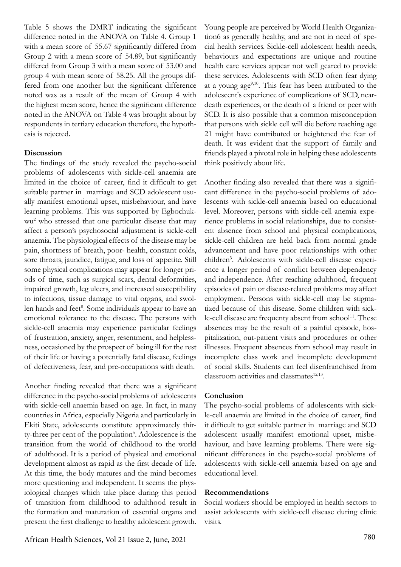Table 5 shows the DMRT indicating the significant difference noted in the ANOVA on Table 4. Group 1 with a mean score of 55.67 significantly differed from Group 2 with a mean score of 54.89, but significantly differed from Group 3 with a mean score of 53.00 and group 4 with mean score of 58.25. All the groups differed from one another but the significant difference noted was as a result of the mean of Group 4 with the highest mean score, hence the significant difference noted in the ANOVA on Table 4 was brought about by respondents in tertiary education therefore, the hypothesis is rejected.

### **Discussion**

The findings of the study revealed the psycho-social problems of adolescents with sickle-cell anaemia are limited in the choice of career, find it difficult to get suitable partner in marriage and SCD adolescent usually manifest emotional upset, misbehaviour, and have learning problems. This was supported by Egbochukwu2 who stressed that one particular disease that may affect a person's psychosocial adjustment is sickle-cell anaemia. The physiological effects of the disease may be pain, shortness of breath, poor- health, constant colds, sore throats, jaundice, fatigue, and loss of appetite. Still some physical complications may appear for longer priods of time, such as surgical scars, dental deformities, impaired growth, leg ulcers, and increased susceptibility to infections, tissue damage to vital organs, and swollen hands and feet<sup>8</sup>. Some individuals appear to have an emotional tolerance to the disease. The persons with sickle-cell anaemia may experience particular feelings of frustration, anxiety, anger, resentment, and helplessness, occasioned by the prospect of being ill for the rest of their life or having a potentially fatal disease, feelings of defectiveness, fear, and pre-occupations with death.

Another finding revealed that there was a significant difference in the psycho-social problems of adolescents with sickle-cell anaemia based on age. In fact, in many countries in Africa, especially Nigeria and particularly in Ekiti State, adolescents constitute approximately thirty-three per cent of the population<sup>5</sup>. Adolescence is the transition from the world of childhood to the world of adulthood. It is a period of physical and emotional development almost as rapid as the first decade of life. At this time, the body matures and the mind becomes more questioning and independent. It seems the physiological changes which take place during this period of transition from childhood to adulthood result in the formation and maturation of essential organs and present the first challenge to healthy adolescent growth.

Young people are perceived by World Health Organization6 as generally healthy, and are not in need of special health services. Sickle-cell adolescent health needs, behaviours and expectations are unique and routine health care services appear not well geared to provide these services. Adolescents with SCD often fear dying at a young  $age^{9,10}$ . This fear has been attributed to the adolescent's experience of complications of SCD, neardeath experiences, or the death of a friend or peer with SCD. It is also possible that a common misconception that persons with sickle cell will die before reaching age 21 might have contributed or heightened the fear of death. It was evident that the support of family and friends played a pivotal role in helping these adolescents think positively about life.

Another finding also revealed that there was a significant difference in the psycho-social problems of adolescents with sickle-cell anaemia based on educational level. Moreover, persons with sickle-cell anemia experience problems in social relationships, due to consistent absence from school and physical complications, sickle-cell children are held back from normal grade advancement and have poor relationships with other children<sup>3</sup>. Adolescents with sickle-cell disease experience a longer period of conflict between dependency and independence. After reaching adulthood, frequent episodes of pain or disease-related problems may affect employment. Persons with sickle-cell may be stigmatized because of this disease. Some children with sickle-cell disease are frequenty absent from school<sup>11</sup>. These absences may be the result of a painful episode, hospitalization, out-patient visits and procedures or other illnesses. Frequent absences from school may result in incomplete class work and incomplete development of social skills. Students can feel disenfranchised from classroom activities and classmates $12,13$ .

#### **Conclusion**

The psycho-social problems of adolescents with sickle-cell anaemia are limited in the choice of career, find it difficult to get suitable partner in marriage and SCD adolescent usually manifest emotional upset, misbehaviour, and have learning problems. There were significant differences in the psycho-social problems of adolescents with sickle-cell anaemia based on age and educational level.

#### **Recommendations**

Social workers should be employed in health sectors to assist adolescents with sickle-cell disease during clinic visits.